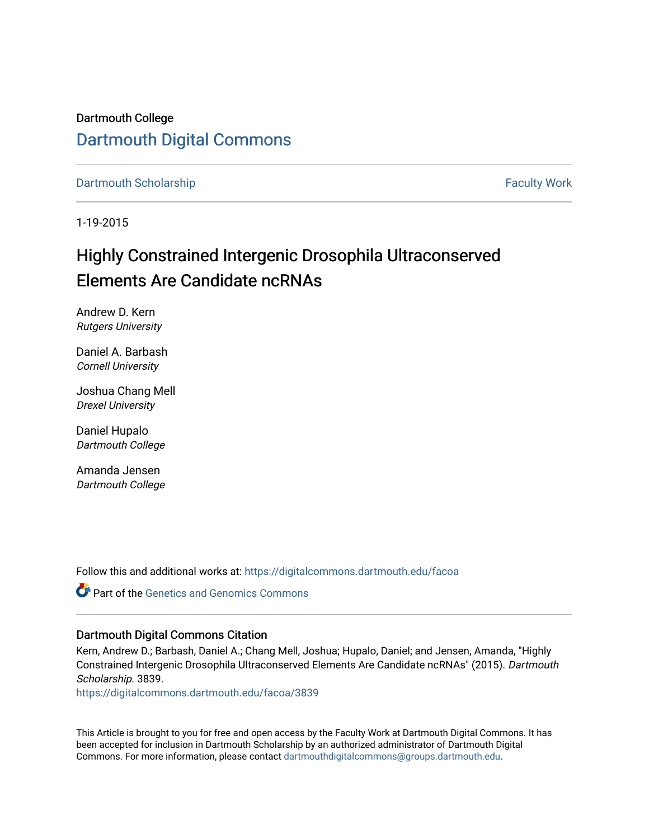Dartmouth College [Dartmouth Digital Commons](https://digitalcommons.dartmouth.edu/) 

[Dartmouth Scholarship](https://digitalcommons.dartmouth.edu/facoa) Faculty Work

1-19-2015

# Highly Constrained Intergenic Drosophila Ultraconserved Elements Are Candidate ncRNAs

Andrew D. Kern Rutgers University

Daniel A. Barbash Cornell University

Joshua Chang Mell Drexel University

Daniel Hupalo Dartmouth College

Amanda Jensen Dartmouth College

Follow this and additional works at: [https://digitalcommons.dartmouth.edu/facoa](https://digitalcommons.dartmouth.edu/facoa?utm_source=digitalcommons.dartmouth.edu%2Ffacoa%2F3839&utm_medium=PDF&utm_campaign=PDFCoverPages)

Part of the [Genetics and Genomics Commons](http://network.bepress.com/hgg/discipline/27?utm_source=digitalcommons.dartmouth.edu%2Ffacoa%2F3839&utm_medium=PDF&utm_campaign=PDFCoverPages)

## Dartmouth Digital Commons Citation

Kern, Andrew D.; Barbash, Daniel A.; Chang Mell, Joshua; Hupalo, Daniel; and Jensen, Amanda, "Highly Constrained Intergenic Drosophila Ultraconserved Elements Are Candidate ncRNAs" (2015). Dartmouth Scholarship. 3839.

[https://digitalcommons.dartmouth.edu/facoa/3839](https://digitalcommons.dartmouth.edu/facoa/3839?utm_source=digitalcommons.dartmouth.edu%2Ffacoa%2F3839&utm_medium=PDF&utm_campaign=PDFCoverPages) 

This Article is brought to you for free and open access by the Faculty Work at Dartmouth Digital Commons. It has been accepted for inclusion in Dartmouth Scholarship by an authorized administrator of Dartmouth Digital Commons. For more information, please contact [dartmouthdigitalcommons@groups.dartmouth.edu](mailto:dartmouthdigitalcommons@groups.dartmouth.edu).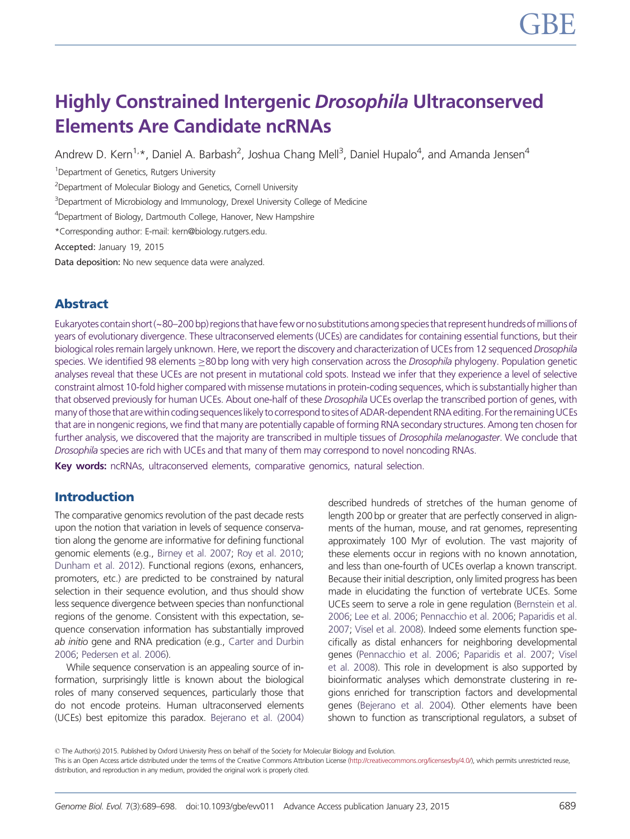# Highly Constrained Intergenic Drosophila Ultraconserved Elements Are Candidate ncRNAs

Andrew D. Kern<sup>1,</sup>\*, Daniel A. Barbash<sup>2</sup>, Joshua Chang Mell<sup>3</sup>, Daniel Hupalo<sup>4</sup>, and Amanda Jensen<sup>4</sup>

<sup>1</sup> Department of Genetics, Rutgers University

<sup>2</sup> Department of Molecular Biology and Genetics, Cornell University

<sup>3</sup>Department of Microbiology and Immunology, Drexel University College of Medicine

4 Department of Biology, Dartmouth College, Hanover, New Hampshire

\*Corresponding author: E-mail: kern@biology.rutgers.edu.

Accepted: January 19, 2015

Data deposition: No new sequence data were analyzed.

# Abstract

Eukaryotes contain short (~80–200 bp) regions that have few or no substitutions among species that represent hundreds of millions of years of evolutionary divergence. These ultraconserved elements (UCEs) are candidates for containing essential functions, but their biological roles remain largely unknown. Here, we report the discovery and characterization of UCEs from 12 sequenced Drosophila species. We identified 98 elements ≥80 bp long with very high conservation across the *Drosophila* phylogeny. Population genetic analyses reveal that these UCEs are not present in mutational cold spots. Instead we infer that they experience a level of selective constraint almost 10-fold higher compared with missense mutationsin protein-coding sequences, which is substantially higher than that observed previously for human UCEs. About one-half of these *Drosophila* UCEs overlap the transcribed portion of genes, with many of those that are within coding sequences likely to correspond to sites of ADAR-dependent RNA editing. For the remaining UCEs that are in nongenic regions, we find that many are potentially capable of forming RNA secondary structures. Among ten chosen for further analysis, we discovered that the majority are transcribed in multiple tissues of Drosophila melanogaster. We conclude that Drosophila species are rich with UCEs and that many of them may correspond to novel noncoding RNAs.

Key words: ncRNAs, ultraconserved elements, comparative genomics, natural selection.

# Introduction

The comparative genomics revolution of the past decade rests upon the notion that variation in levels of sequence conservation along the genome are informative for defining functional genomic elements (e.g., [Birney et al. 2007;](#page-10-0) [Roy et al. 2010;](#page-10-0) [Dunham et al. 2012](#page-10-0)). Functional regions (exons, enhancers, promoters, etc.) are predicted to be constrained by natural selection in their sequence evolution, and thus should show less sequence divergence between species than nonfunctional regions of the genome. Consistent with this expectation, sequence conservation information has substantially improved ab initio gene and RNA predication (e.g., [Carter and Durbin](#page-10-0) [2006;](#page-10-0) [Pedersen et al. 2006\)](#page-10-0).

While sequence conservation is an appealing source of information, surprisingly little is known about the biological roles of many conserved sequences, particularly those that do not encode proteins. Human ultraconserved elements (UCEs) best epitomize this paradox. [Bejerano et al. \(2004\)](#page-9-0)

described hundreds of stretches of the human genome of length 200 bp or greater that are perfectly conserved in alignments of the human, mouse, and rat genomes, representing approximately 100 Myr of evolution. The vast majority of these elements occur in regions with no known annotation, and less than one-fourth of UCEs overlap a known transcript. Because their initial description, only limited progress has been made in elucidating the function of vertebrate UCEs. Some UCEs seem to serve a role in gene regulation ([Bernstein et al.](#page-10-0) [2006](#page-10-0); [Lee et al. 2006;](#page-10-0) [Pennacchio et al. 2006](#page-10-0); [Paparidis et al.](#page-10-0) [2007](#page-10-0); [Visel et al. 2008\)](#page-10-0). Indeed some elements function specifically as distal enhancers for neighboring developmental genes ([Pennacchio et al. 2006](#page-10-0); [Paparidis et al. 2007;](#page-10-0) [Visel](#page-10-0) [et al. 2008\)](#page-10-0). This role in development is also supported by bioinformatic analyses which demonstrate clustering in regions enriched for transcription factors and developmental genes ([Bejerano et al. 2004](#page-9-0)). Other elements have been shown to function as transcriptional regulators, a subset of

This is an Open Access article distributed under the terms of the Creative Commons Attribution License [\(http://creativecommons.org/licenses/by/4.0/\)](http://creativecommons.org/licenses/by/4.0/), which permits unrestricted reuse, distribution, and reproduction in any medium, provided the original work is properly cited.

<sup>©</sup> The Author(s) 2015. Published by Oxford University Press on behalf of the Society for Molecular Biology and Evolution.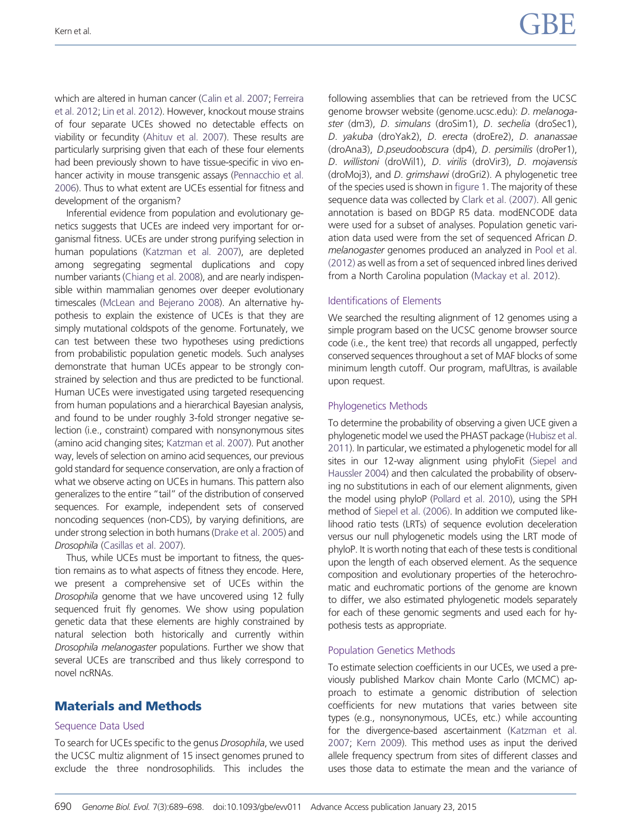which are altered in human cancer [\(Calin et al. 2007;](#page-10-0) [Ferreira](#page-10-0) [et al. 2012;](#page-10-0) [Lin et al. 2012\)](#page-10-0). However, knockout mouse strains of four separate UCEs showed no detectable effects on viability or fecundity [\(Ahituv et al. 2007\)](#page-9-0). These results are particularly surprising given that each of these four elements had been previously shown to have tissue-specific in vivo enhancer activity in mouse transgenic assays [\(Pennacchio et al.](#page-10-0) [2006\)](#page-10-0). Thus to what extent are UCEs essential for fitness and development of the organism?

Inferential evidence from population and evolutionary genetics suggests that UCEs are indeed very important for organismal fitness. UCEs are under strong purifying selection in human populations ([Katzman et al. 2007](#page-10-0)), are depleted among segregating segmental duplications and copy number variants [\(Chiang et al. 2008](#page-10-0)), and are nearly indispensible within mammalian genomes over deeper evolutionary timescales [\(McLean and Bejerano 2008](#page-10-0)). An alternative hypothesis to explain the existence of UCEs is that they are simply mutational coldspots of the genome. Fortunately, we can test between these two hypotheses using predictions from probabilistic population genetic models. Such analyses demonstrate that human UCEs appear to be strongly constrained by selection and thus are predicted to be functional. Human UCEs were investigated using targeted resequencing from human populations and a hierarchical Bayesian analysis, and found to be under roughly 3-fold stronger negative selection (i.e., constraint) compared with nonsynonymous sites (amino acid changing sites; [Katzman et al. 2007](#page-10-0)). Put another way, levels of selection on amino acid sequences, our previous gold standard for sequence conservation, are only a fraction of what we observe acting on UCEs in humans. This pattern also generalizes to the entire "tail" of the distribution of conserved sequences. For example, independent sets of conserved noncoding sequences (non-CDS), by varying definitions, are under strong selection in both humans ([Drake et al. 2005](#page-10-0)) and Drosophila [\(Casillas et al. 2007\)](#page-10-0).

Thus, while UCEs must be important to fitness, the question remains as to what aspects of fitness they encode. Here, we present a comprehensive set of UCEs within the Drosophila genome that we have uncovered using 12 fully sequenced fruit fly genomes. We show using population genetic data that these elements are highly constrained by natural selection both historically and currently within Drosophila melanogaster populations. Further we show that several UCEs are transcribed and thus likely correspond to novel ncRNAs.

## Materials and Methods

#### Sequence Data Used

To search for UCEs specific to the genus Drosophila, we used the UCSC multiz alignment of 15 insect genomes pruned to exclude the three nondrosophilids. This includes the following assemblies that can be retrieved from the UCSC genome browser website (genome.ucsc.edu): D. melanogaster (dm3), D. simulans (droSim1), D. sechelia (droSec1), D. yakuba (droYak2), D. erecta (droEre2), D. ananassae (droAna3), D.pseudoobscura (dp4), D. persimilis (droPer1), D. willistoni (droWil1), D. virilis (droVir3), D. mojavensis (droMoj3), and D. grimshawi (droGri2). A phylogenetic tree of the species used is shown in [figure 1](#page-3-0). The majority of these sequence data was collected by [Clark et al. \(2007\)](#page-10-0). All genic annotation is based on BDGP R5 data. modENCODE data were used for a subset of analyses. Population genetic variation data used were from the set of sequenced African D. melanogaster genomes produced an analyzed in [Pool et al.](#page-10-0) [\(2012\)](#page-10-0) as well as from a set of sequenced inbred lines derived from a North Carolina population [\(Mackay et al. 2012\)](#page-10-0).

### Identifications of Elements

We searched the resulting alignment of 12 genomes using a simple program based on the UCSC genome browser source code (i.e., the kent tree) that records all ungapped, perfectly conserved sequences throughout a set of MAF blocks of some minimum length cutoff. Our program, mafUltras, is available upon request.

#### Phylogenetics Methods

To determine the probability of observing a given UCE given a phylogenetic model we used the PHAST package [\(Hubisz et al.](#page-10-0) [2011](#page-10-0)). In particular, we estimated a phylogenetic model for all sites in our 12-way alignment using phyloFit [\(Siepel and](#page-10-0) [Haussler 2004](#page-10-0)) and then calculated the probability of observing no substitutions in each of our element alignments, given the model using phyloP [\(Pollard et al. 2010](#page-10-0)), using the SPH method of [Siepel et al. \(2006\)](#page-10-0). In addition we computed likelihood ratio tests (LRTs) of sequence evolution deceleration versus our null phylogenetic models using the LRT mode of phyloP. It is worth noting that each of these tests is conditional upon the length of each observed element. As the sequence composition and evolutionary properties of the heterochromatic and euchromatic portions of the genome are known to differ, we also estimated phylogenetic models separately for each of these genomic segments and used each for hypothesis tests as appropriate.

#### Population Genetics Methods

To estimate selection coefficients in our UCEs, we used a previously published Markov chain Monte Carlo (MCMC) approach to estimate a genomic distribution of selection coefficients for new mutations that varies between site types (e.g., nonsynonymous, UCEs, etc.) while accounting for the divergence-based ascertainment [\(Katzman et al.](#page-10-0) [2007](#page-10-0); [Kern 2009\)](#page-10-0). This method uses as input the derived allele frequency spectrum from sites of different classes and uses those data to estimate the mean and the variance of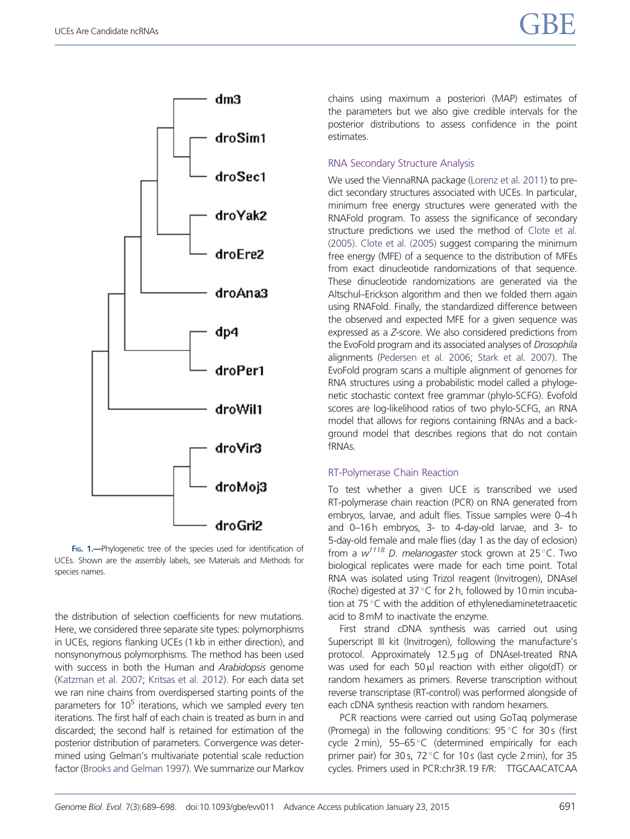<span id="page-3-0"></span>

FIG. 1.-Phylogenetic tree of the species used for identification of UCEs. Shown are the assembly labels, see Materials and Methods for species names.

the distribution of selection coefficients for new mutations. Here, we considered three separate site types: polymorphisms in UCEs, regions flanking UCEs (1 kb in either direction), and nonsynonymous polymorphisms. The method has been used with success in both the Human and Arabidopsis genome [\(Katzman et al. 2007;](#page-10-0) [Kritsas et al. 2012](#page-10-0)). For each data set we ran nine chains from overdispersed starting points of the parameters for  $10^5$  iterations, which we sampled every ten iterations. The first half of each chain is treated as burn in and discarded; the second half is retained for estimation of the posterior distribution of parameters. Convergence was determined using Gelman's multivariate potential scale reduction factor [\(Brooks and Gelman 1997](#page-10-0)). We summarize our Markov

chains using maximum a posteriori (MAP) estimates of the parameters but we also give credible intervals for the posterior distributions to assess confidence in the point estimates.

### RNA Secondary Structure Analysis

We used the ViennaRNA package [\(Lorenz et al. 2011\)](#page-10-0) to predict secondary structures associated with UCEs. In particular, minimum free energy structures were generated with the RNAFold program. To assess the significance of secondary structure predictions we used the method of [Clote et al.](#page-10-0) [\(2005\)](#page-10-0). [Clote et al. \(2005\)](#page-10-0) suggest comparing the minimum free energy (MFE) of a sequence to the distribution of MFEs from exact dinucleotide randomizations of that sequence. These dinucleotide randomizations are generated via the Altschul–Erickson algorithm and then we folded them again using RNAFold. Finally, the standardized difference between the observed and expected MFE for a given sequence was expressed as a Z-score. We also considered predictions from the EvoFold program and its associated analyses of Drosophila alignments [\(Pedersen et al. 2006;](#page-10-0) [Stark et al. 2007](#page-10-0)). The EvoFold program scans a multiple alignment of genomes for RNA structures using a probabilistic model called a phylogenetic stochastic context free grammar (phylo-SCFG). Evofold scores are log-likelihood ratios of two phylo-SCFG, an RNA model that allows for regions containing fRNAs and a background model that describes regions that do not contain fRNAs.

## RT-Polymerase Chain Reaction

To test whether a given UCE is transcribed we used RT-polymerase chain reaction (PCR) on RNA generated from embryos, larvae, and adult flies. Tissue samples were 0–4 h and 0–16 h embryos, 3- to 4-day-old larvae, and 3- to 5-day-old female and male flies (day 1 as the day of eclosion) from a  $w^{1118}$  D. melanogaster stock grown at 25 °C. Two biological replicates were made for each time point. Total RNA was isolated using Trizol reagent (Invitrogen), DNAseI (Roche) digested at  $37^{\circ}$ C for 2 h, followed by 10 min incubation at  $75^{\circ}$ C with the addition of ethylenediaminetetraacetic acid to 8 mM to inactivate the enzyme.

First strand cDNA synthesis was carried out using Superscript III kit (Invitrogen), following the manufacture's protocol. Approximately  $12.5 \mu$ g of DNAsel-treated RNA was used for each 50  $\mu$ l reaction with either oligo(dT) or random hexamers as primers. Reverse transcription without reverse transcriptase (RT-control) was performed alongside of each cDNA synthesis reaction with random hexamers.

PCR reactions were carried out using GoTaq polymerase (Promega) in the following conditions:  $95^{\circ}$ C for 30 s (first cycle 2 min),  $55-65$  °C (determined empirically for each primer pair) for 30 s,  $72^{\circ}$ C for 10 s (last cycle 2 min), for 35 cycles. Primers used in PCR:chr3R.19 F/R: TTGCAACATCAA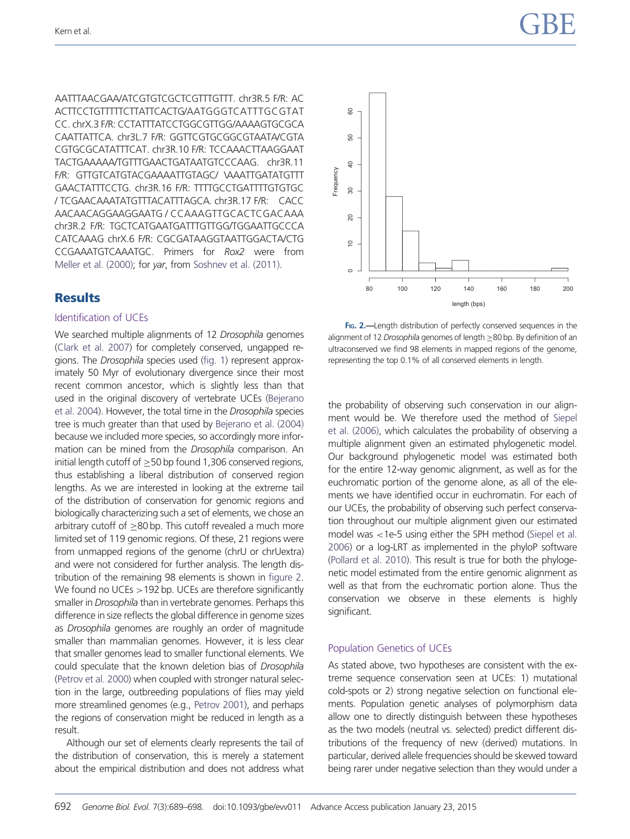AATTTAACGAA/ATCGTGTCGCTCGTTTGTTT. chr3R.5 F/R: AC ACTTCCTGTTTTTCTTATTCACTG/AATGGGTCATTTGCGTAT CC. chrX.3 F/R: CCTATTTATCCTGGCGTTGG/AAAAGTGCGCA CAATTATTCA. chr3L.7 F/R: GGTTCGTGCGGCGTAATA/CGTA CGTGCGCATATTTCAT. chr3R.10 F/R: TCCAAACTTAAGGAAT TACTGAAAAA/TGTTTGAACTGATAATGTCCCAAG. chr3R.11 F/R: GTTGTCATGTACGAAAATTGTAGC/ \AAATTGATATGTTT GAACTATTTCCTG. chr3R.16 F/R: TTTTGCCTGATTTTGTGTGC / TCGAACAAATATGTTTACATTTAGCA. chr3R.17 F/R: CACC AACAACAGGAAGGAATG / CCAAAGTTGCACTCGACAAA chr3R.2 F/R: TGCTCATGAATGATTTGTTGG/TGGAATTGCCCA CATCAAAG chrX.6 F/R: CGCGATAAGGTAATTGGACTA/CTG CCGAAATGTCAAATGC. Primers for Rox2 were from [Meller et al. \(2000\);](#page-10-0) for yar, from [Soshnev et al. \(2011\)](#page-10-0).

# **Results**

#### Identification of UCEs

We searched multiple alignments of 12 Drosophila genomes [\(Clark et al. 2007](#page-10-0)) for completely conserved, ungapped regions. The Drosophila species used [\(fig. 1](#page-3-0)) represent approximately 50 Myr of evolutionary divergence since their most recent common ancestor, which is slightly less than that used in the original discovery of vertebrate UCEs ([Bejerano](#page-9-0) [et al. 2004\)](#page-9-0). However, the total time in the Drosophila species tree is much greater than that used by [Bejerano et al. \(2004\)](#page-9-0) because we included more species, so accordingly more information can be mined from the Drosophila comparison. An initial length cutoff of  $\geq$ 50 bp found 1,306 conserved regions, thus establishing a liberal distribution of conserved region lengths. As we are interested in looking at the extreme tail of the distribution of conservation for genomic regions and biologically characterizing such a set of elements, we chose an arbitrary cutoff of  $\geq$ 80 bp. This cutoff revealed a much more limited set of 119 genomic regions. Of these, 21 regions were from unmapped regions of the genome (chrU or chrUextra) and were not considered for further analysis. The length distribution of the remaining 98 elements is shown in figure 2. We found no UCEs > 192 bp. UCEs are therefore significantly smaller in *Drosophila* than in vertebrate genomes. Perhaps this difference in size reflects the global difference in genome sizes as Drosophila genomes are roughly an order of magnitude smaller than mammalian genomes. However, it is less clear that smaller genomes lead to smaller functional elements. We could speculate that the known deletion bias of Drosophila [\(Petrov et al. 2000\)](#page-10-0) when coupled with stronger natural selection in the large, outbreeding populations of flies may yield more streamlined genomes (e.g., [Petrov 2001\)](#page-10-0), and perhaps the regions of conservation might be reduced in length as a result.

Although our set of elements clearly represents the tail of the distribution of conservation, this is merely a statement about the empirical distribution and does not address what



FIG. 2.-Length distribution of perfectly conserved sequences in the alignment of 12 Drosophila genomes of length  $\geq$ 80 bp. By definition of an ultraconserved we find 98 elements in mapped regions of the genome, representing the top 0.1% of all conserved elements in length.

the probability of observing such conservation in our alignment would be. We therefore used the method of [Siepel](#page-10-0) [et al. \(2006\)](#page-10-0), which calculates the probability of observing a multiple alignment given an estimated phylogenetic model. Our background phylogenetic model was estimated both for the entire 12-way genomic alignment, as well as for the euchromatic portion of the genome alone, as all of the elements we have identified occur in euchromatin. For each of our UCEs, the probability of observing such perfect conservation throughout our multiple alignment given our estimated model was <1e-5 using either the SPH method [\(Siepel et al.](#page-10-0) [2006](#page-10-0)) or a log-LRT as implemented in the phyloP software ([Pollard et al. 2010](#page-10-0)). This result is true for both the phylogenetic model estimated from the entire genomic alignment as well as that from the euchromatic portion alone. Thus the conservation we observe in these elements is highly significant.

#### Population Genetics of UCEs

As stated above, two hypotheses are consistent with the extreme sequence conservation seen at UCEs: 1) mutational cold-spots or 2) strong negative selection on functional elements. Population genetic analyses of polymorphism data allow one to directly distinguish between these hypotheses as the two models (neutral vs. selected) predict different distributions of the frequency of new (derived) mutations. In particular, derived allele frequencies should be skewed toward being rarer under negative selection than they would under a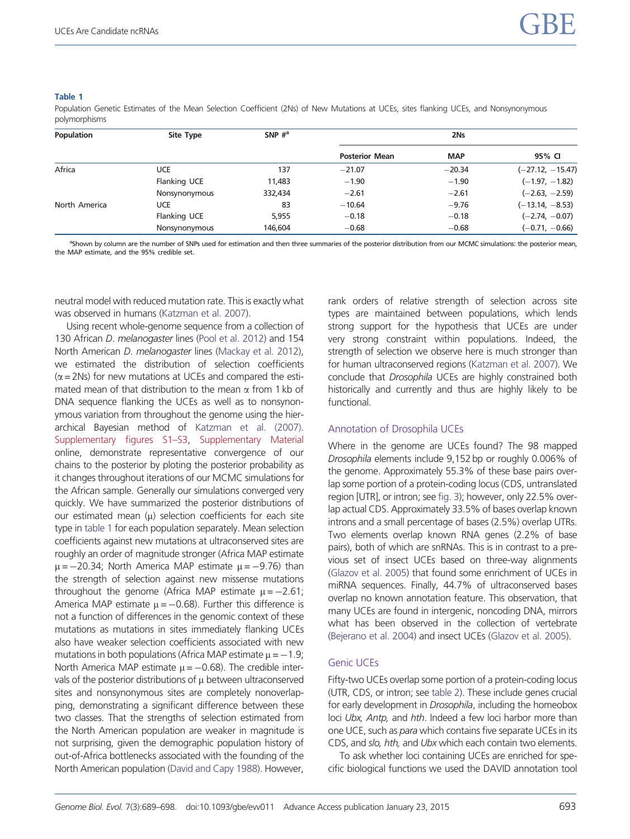## <span id="page-5-0"></span>Table 1

Population Genetic Estimates of the Mean Selection Coefficient (2Ns) of New Mutations at UCEs, sites flanking UCEs, and Nonsynonymous polymorphisms

| Population    | Site Type     | SNP $#^a$ | 2Ns                   |            |                    |
|---------------|---------------|-----------|-----------------------|------------|--------------------|
|               |               |           | <b>Posterior Mean</b> | <b>MAP</b> | 95% CI             |
| Africa        | <b>UCE</b>    | 137       | $-21.07$              | $-20.34$   | $(-27.12, -15.47)$ |
|               | Flanking UCE  | 11,483    | $-1.90$               | $-1.90$    | $(-1.97, -1.82)$   |
|               | Nonsynonymous | 332,434   | $-2.61$               | $-2.61$    | $(-2.63, -2.59)$   |
| North America | UCE           | 83        | $-10.64$              | $-9.76$    | $(-13.14, -8.53)$  |
|               | Flanking UCE  | 5.955     | $-0.18$               | $-0.18$    | $(-2.74, -0.07)$   |
|               | Nonsynonymous | 146,604   | $-0.68$               | $-0.68$    | $(-0.71, -0.66)$   |

aShown by column are the number of SNPs used for estimation and then three summaries of the posterior distribution from our MCMC simulations: the posterior mean, the MAP estimate, and the 95% credible set.

neutral model with reduced mutation rate. This is exactly what was observed in humans [\(Katzman et al. 2007](#page-10-0)).

Using recent whole-genome sequence from a collection of 130 African D. melanogaster lines [\(Pool et al. 2012](#page-10-0)) and 154 North American D. melanogaster lines [\(Mackay et al. 2012](#page-10-0)), we estimated the distribution of selection coefficients  $(\alpha = 2Ns)$  for new mutations at UCEs and compared the estimated mean of that distribution to the mean  $\alpha$  from 1 kb of DNA sequence flanking the UCEs as well as to nonsynonymous variation from throughout the genome using the hierarchical Bayesian method of [Katzman et al. \(2007\).](#page-10-0) [Supplementary figures S1–S3](http://gbe.oxfordjournals.org/lookup/suppl/doi:10.1093/gbe/evv011/-/DC1), [Supplementary Material](http://gbe.oxfordjournals.org/lookup/suppl/doi:10.1093/gbe/evv011/-/DC1) online, demonstrate representative convergence of our chains to the posterior by ploting the posterior probability as it changes throughout iterations of our MCMC simulations for the African sample. Generally our simulations converged very quickly. We have summarized the posterior distributions of our estimated mean  $(\mu)$  selection coefficients for each site type in table 1 for each population separately. Mean selection coefficients against new mutations at ultraconserved sites are roughly an order of magnitude stronger (Africa MAP estimate  $\mu$  = -20.34; North America MAP estimate  $\mu$  = -9.76) than the strength of selection against new missense mutations throughout the genome (Africa MAP estimate  $\mu = -2.61$ ; America MAP estimate  $\mu$  = -0.68). Further this difference is not a function of differences in the genomic context of these mutations as mutations in sites immediately flanking UCEs also have weaker selection coefficients associated with new mutations in both populations (Africa MAP estimate  $\mu = -1.9$ ; North America MAP estimate  $\mu = -0.68$ ). The credible intervals of the posterior distributions of  $\mu$  between ultraconserved sites and nonsynonymous sites are completely nonoverlapping, demonstrating a significant difference between these two classes. That the strengths of selection estimated from the North American population are weaker in magnitude is not surprising, given the demographic population history of out-of-Africa bottlenecks associated with the founding of the North American population [\(David and Capy 1988](#page-10-0)). However, rank orders of relative strength of selection across site types are maintained between populations, which lends strong support for the hypothesis that UCEs are under very strong constraint within populations. Indeed, the strength of selection we observe here is much stronger than for human ultraconserved regions [\(Katzman et al. 2007\)](#page-10-0). We conclude that Drosophila UCEs are highly constrained both historically and currently and thus are highly likely to be functional.

#### Annotation of Drosophila UCEs

Where in the genome are UCEs found? The 98 mapped Drosophila elements include 9,152 bp or roughly 0.006% of the genome. Approximately 55.3% of these base pairs overlap some portion of a protein-coding locus (CDS, untranslated region [UTR], or intron; see [fig. 3](#page-6-0)); however, only 22.5% overlap actual CDS. Approximately 33.5% of bases overlap known introns and a small percentage of bases (2.5%) overlap UTRs. Two elements overlap known RNA genes (2.2% of base pairs), both of which are snRNAs. This is in contrast to a previous set of insect UCEs based on three-way alignments ([Glazov et al. 2005](#page-10-0)) that found some enrichment of UCEs in miRNA sequences. Finally, 44.7% of ultraconserved bases overlap no known annotation feature. This observation, that many UCEs are found in intergenic, noncoding DNA, mirrors what has been observed in the collection of vertebrate ([Bejerano et al. 2004](#page-9-0)) and insect UCEs [\(Glazov et al. 2005](#page-10-0)).

## Genic UCEs

Fifty-two UCEs overlap some portion of a protein-coding locus (UTR, CDS, or intron; see [table 2\)](#page-6-0). These include genes crucial for early development in Drosophila, including the homeobox loci Ubx, Antp, and hth. Indeed a few loci harbor more than one UCE, such as para which contains five separate UCEs in its CDS, and slo, hth, and Ubx which each contain two elements.

To ask whether loci containing UCEs are enriched for specific biological functions we used the DAVID annotation tool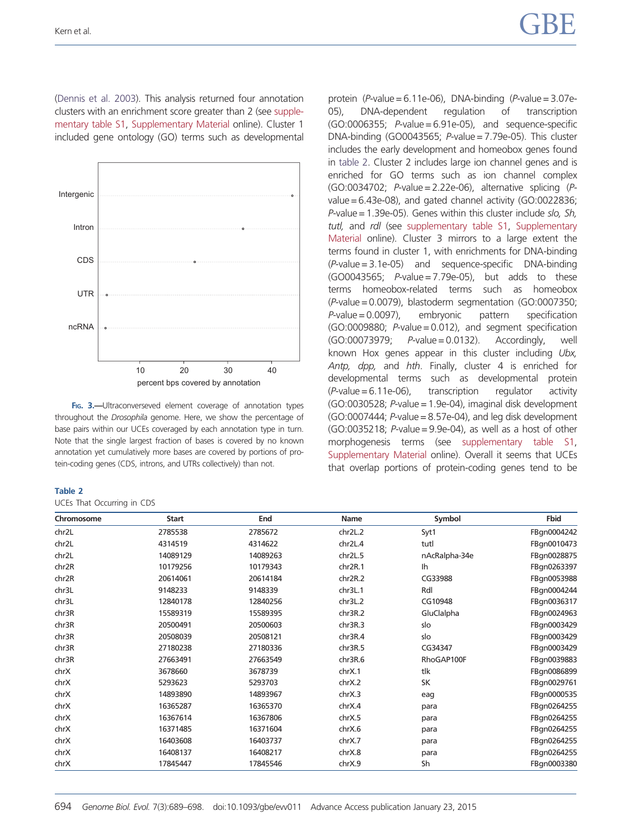<span id="page-6-0"></span>[\(Dennis et al. 2003](#page-10-0)). This analysis returned four annotation clusters with an enrichment score greater than 2 (see [supple](http://gbe.oxfordjournals.org/lookup/suppl/doi:10.1093/gbe/evv011/-/DC1)[mentary table S1,](http://gbe.oxfordjournals.org/lookup/suppl/doi:10.1093/gbe/evv011/-/DC1) [Supplementary Material](http://gbe.oxfordjournals.org/lookup/suppl/doi:10.1093/gbe/evv011/-/DC1) online). Cluster 1 included gene ontology (GO) terms such as developmental



FIG. 3.—Ultraconverseved element coverage of annotation types throughout the Drosophila genome. Here, we show the percentage of base pairs within our UCEs coveraged by each annotation type in turn. Note that the single largest fraction of bases is covered by no known annotation yet cumulatively more bases are covered by portions of protein-coding genes (CDS, introns, and UTRs collectively) than not.

#### Table 2

UCEs That Occurring in CDS

protein  $(P$ -value = 6.11e-06), DNA-binding  $(P$ -value = 3.07e-05), DNA-dependent regulation of transcription (GO:0006355; P-value = 6.91e-05), and sequence-specific DNA-binding (GO0043565; P-value = 7.79e-05). This cluster includes the early development and homeobox genes found in table 2. Cluster 2 includes large ion channel genes and is enriched for GO terms such as ion channel complex (GO:0034702; P-value = 2.22e-06), alternative splicing (Pvalue = 6.43e-08), and gated channel activity (GO:0022836;  $P$ -value = 1.39e-05). Genes within this cluster include slo, Sh, tutl, and rdl (see [supplementary table S1](http://gbe.oxfordjournals.org/lookup/suppl/doi:10.1093/gbe/evv011/-/DC1), [Supplementary](http://gbe.oxfordjournals.org/lookup/suppl/doi:10.1093/gbe/evv011/-/DC1) [Material](http://gbe.oxfordjournals.org/lookup/suppl/doi:10.1093/gbe/evv011/-/DC1) online). Cluster 3 mirrors to a large extent the terms found in cluster 1, with enrichments for DNA-binding (P-value = 3.1e-05) and sequence-specific DNA-binding (GO0043565; P-value = 7.79e-05), but adds to these terms homeobox-related terms such as homeobox (P-value = 0.0079), blastoderm segmentation (GO:0007350; P-value = 0.0097), embryonic pattern specification (GO:0009880; P-value = 0.012), and segment specification (GO:00073979; P-value = 0.0132). Accordingly, well known Hox genes appear in this cluster including Ubx, Antp, dpp, and hth. Finally, cluster 4 is enriched for developmental terms such as developmental protein  $(P-value = 6.11e-06)$ , transcription regulator activity (GO:0030528; P-value = 1.9e-04), imaginal disk development (GO:0007444; P-value = 8.57e-04), and leg disk development (GO:0035218; P-value = 9.9e-04), as well as a host of other morphogenesis terms (see [supplementary table S1](http://gbe.oxfordjournals.org/lookup/suppl/doi:10.1093/gbe/evv011/-/DC1), [Supplementary Material](http://gbe.oxfordjournals.org/lookup/suppl/doi:10.1093/gbe/evv011/-/DC1) online). Overall it seems that UCEs that overlap portions of protein-coding genes tend to be

| Chromosome        | Start    | End      | Name    | Symbol        | <b>Fbid</b> |
|-------------------|----------|----------|---------|---------------|-------------|
| chr2L             | 2785538  | 2785672  | chr2L.2 | Syt1          | FBgn0004242 |
| chr2L             | 4314519  | 4314622  | chr2L.4 | tutl          | FBgn0010473 |
| chr2L             | 14089129 | 14089263 | chr2L.5 | nAcRalpha-34e | FBgn0028875 |
| chr <sub>2R</sub> | 10179256 | 10179343 | chr2R.1 | Ih            | FBgn0263397 |
| chr <sub>2R</sub> | 20614061 | 20614184 | chr2R.2 | CG33988       | FBgn0053988 |
| chr3L             | 9148233  | 9148339  | chr3L.1 | Rdl           | FBgn0004244 |
| chr3L             | 12840178 | 12840256 | chr3L.2 | CG10948       | FBgn0036317 |
| chr3R             | 15589319 | 15589395 | chr3R.2 | GluClalpha    | FBgn0024963 |
| chr3R             | 20500491 | 20500603 | chr3R.3 | slo           | FBgn0003429 |
| chr3R             | 20508039 | 20508121 | chr3R.4 | slo           | FBgn0003429 |
| chr3R             | 27180238 | 27180336 | chr3R.5 | CG34347       | FBgn0003429 |
| chr3R             | 27663491 | 27663549 | chr3R.6 | RhoGAP100F    | FBgn0039883 |
| chrX              | 3678660  | 3678739  | chrX.1  | tlk           | FBgn0086899 |
| chrX              | 5293623  | 5293703  | chrX.2  | <b>SK</b>     | FBgn0029761 |
| chrX              | 14893890 | 14893967 | chrX.3  | eag           | FBgn0000535 |
| chrX              | 16365287 | 16365370 | chrX.4  | para          | FBgn0264255 |
| chrX              | 16367614 | 16367806 | chrX.5  | para          | FBgn0264255 |
| chrX              | 16371485 | 16371604 | chrX.6  | para          | FBgn0264255 |
| chrX              | 16403608 | 16403737 | chrX.7  | para          | FBgn0264255 |
| chrX              | 16408137 | 16408217 | chrX.8  | para          | FBgn0264255 |
| chrX              | 17845447 | 17845546 | chrX.9  | Sh            | FBgn0003380 |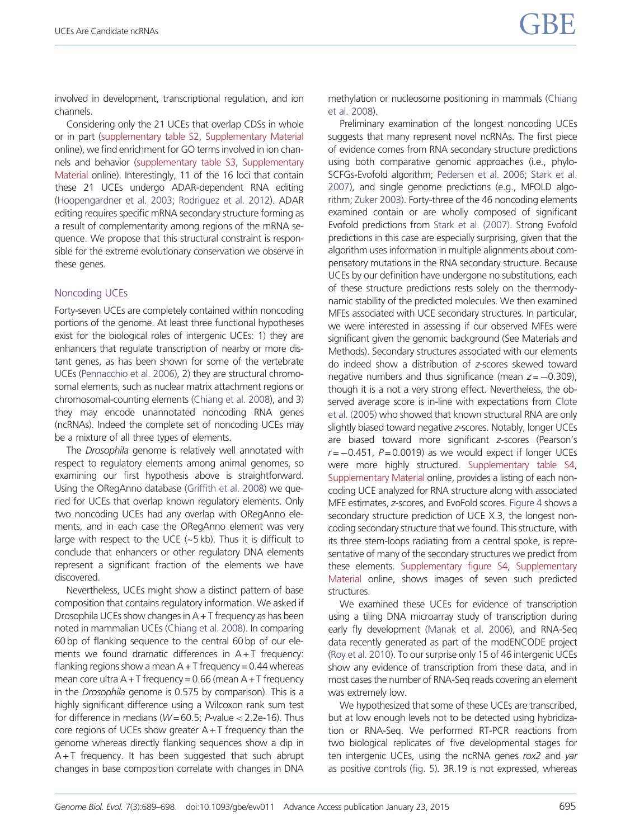involved in development, transcriptional regulation, and ion channels.

Considering only the 21 UCEs that overlap CDSs in whole or in part ([supplementary table S2](http://gbe.oxfordjournals.org/lookup/suppl/doi:10.1093/gbe/evv011/-/DC1), [Supplementary Material](http://gbe.oxfordjournals.org/lookup/suppl/doi:10.1093/gbe/evv011/-/DC1) online), we find enrichment for GO terms involved in ion channels and behavior [\(supplementary table S3,](http://gbe.oxfordjournals.org/lookup/suppl/doi:10.1093/gbe/evv011/-/DC1) [Supplementary](http://gbe.oxfordjournals.org/lookup/suppl/doi:10.1093/gbe/evv011/-/DC1) [Material](http://gbe.oxfordjournals.org/lookup/suppl/doi:10.1093/gbe/evv011/-/DC1) online). Interestingly, 11 of the 16 loci that contain these 21 UCEs undergo ADAR-dependent RNA editing [\(Hoopengardner et al. 2003;](#page-10-0) [Rodriguez et al. 2012](#page-10-0)). ADAR editing requires specific mRNA secondary structure forming as a result of complementarity among regions of the mRNA sequence. We propose that this structural constraint is responsible for the extreme evolutionary conservation we observe in these genes.

#### Noncoding UCEs

Forty-seven UCEs are completely contained within noncoding portions of the genome. At least three functional hypotheses exist for the biological roles of intergenic UCEs: 1) they are enhancers that regulate transcription of nearby or more distant genes, as has been shown for some of the vertebrate UCEs [\(Pennacchio et al. 2006\)](#page-10-0), 2) they are structural chromosomal elements, such as nuclear matrix attachment regions or chromosomal-counting elements [\(Chiang et al. 2008](#page-10-0)), and 3) they may encode unannotated noncoding RNA genes (ncRNAs). Indeed the complete set of noncoding UCEs may be a mixture of all three types of elements.

The Drosophila genome is relatively well annotated with respect to regulatory elements among animal genomes, so examining our first hypothesis above is straightforward. Using the ORegAnno database [\(Griffith et al. 2008\)](#page-10-0) we queried for UCEs that overlap known regulatory elements. Only two noncoding UCEs had any overlap with ORegAnno elements, and in each case the ORegAnno element was very large with respect to the UCE (~5 kb). Thus it is difficult to conclude that enhancers or other regulatory DNA elements represent a significant fraction of the elements we have discovered.

Nevertheless, UCEs might show a distinct pattern of base composition that contains regulatory information. We asked if Drosophila UCEs show changes in  $A + T$  frequency as has been noted in mammalian UCEs ([Chiang et al. 2008\)](#page-10-0). In comparing 60 bp of flanking sequence to the central 60 bp of our elements we found dramatic differences in  $A + T$  frequency: flanking regions show a mean  $A + T$  frequency = 0.44 whereas mean core ultra  $A + T$  frequency = 0.66 (mean  $A + T$  frequency in the Drosophila genome is 0.575 by comparison). This is a highly significant difference using a Wilcoxon rank sum test for difference in medians ( $W = 60.5$ ; P-value < 2.2e-16). Thus core regions of UCEs show greater  $A + T$  frequency than the genome whereas directly flanking sequences show a dip in  $A + T$  frequency. It has been suggested that such abrupt changes in base composition correlate with changes in DNA

methylation or nucleosome positioning in mammals [\(Chiang](#page-10-0) [et al. 2008](#page-10-0)).

Preliminary examination of the longest noncoding UCEs suggests that many represent novel ncRNAs. The first piece of evidence comes from RNA secondary structure predictions using both comparative genomic approaches (i.e., phylo-SCFGs-Evofold algorithm; [Pedersen et al. 2006](#page-10-0); [Stark et al.](#page-10-0) [2007](#page-10-0)), and single genome predictions (e.g., MFOLD algorithm; [Zuker 2003](#page-10-0)). Forty-three of the 46 noncoding elements examined contain or are wholly composed of significant Evofold predictions from [Stark et al. \(2007\)](#page-10-0). Strong Evofold predictions in this case are especially surprising, given that the algorithm uses information in multiple alignments about compensatory mutations in the RNA secondary structure. Because UCEs by our definition have undergone no substitutions, each of these structure predictions rests solely on the thermodynamic stability of the predicted molecules. We then examined MFEs associated with UCE secondary structures. In particular, we were interested in assessing if our observed MFEs were significant given the genomic background (See Materials and Methods). Secondary structures associated with our elements do indeed show a distribution of z-scores skewed toward negative numbers and thus significance (mean  $z=-0.309$ ), though it is a not a very strong effect. Nevertheless, the observed average score is in-line with expectations from [Clote](#page-10-0) [et al. \(2005\)](#page-10-0) who showed that known structural RNA are only slightly biased toward negative z-scores. Notably, longer UCEs are biased toward more significant z-scores (Pearson's  $r = -0.451$ ,  $P = 0.0019$ ) as we would expect if longer UCEs were more highly structured. [Supplementary table S4](http://gbe.oxfordjournals.org/lookup/suppl/doi:10.1093/gbe/evv011/-/DC1), [Supplementary Material](http://gbe.oxfordjournals.org/lookup/suppl/doi:10.1093/gbe/evv011/-/DC1) online, provides a listing of each noncoding UCE analyzed for RNA structure along with associated MFE estimates, z-scores, and EvoFold scores. [Figure 4](#page-8-0) shows a secondary structure prediction of UCE X.3, the longest noncoding secondary structure that we found. This structure, with its three stem-loops radiating from a central spoke, is representative of many of the secondary structures we predict from these elements. [Supplementary figure S4,](http://gbe.oxfordjournals.org/lookup/suppl/doi:10.1093/gbe/evv011/-/DC1) [Supplementary](http://gbe.oxfordjournals.org/lookup/suppl/doi:10.1093/gbe/evv011/-/DC1) [Material](http://gbe.oxfordjournals.org/lookup/suppl/doi:10.1093/gbe/evv011/-/DC1) online, shows images of seven such predicted structures.

We examined these UCEs for evidence of transcription using a tiling DNA microarray study of transcription during early fly development ([Manak et al. 2006](#page-10-0)), and RNA-Seq data recently generated as part of the modENCODE project ([Roy et al. 2010](#page-10-0)). To our surprise only 15 of 46 intergenic UCEs show any evidence of transcription from these data, and in most cases the number of RNA-Seq reads covering an element was extremely low.

We hypothesized that some of these UCEs are transcribed, but at low enough levels not to be detected using hybridization or RNA-Seq. We performed RT-PCR reactions from two biological replicates of five developmental stages for ten intergenic UCEs, using the ncRNA genes rox2 and yar as positive controls [\(fig. 5\)](#page-9-0). 3R.19 is not expressed, whereas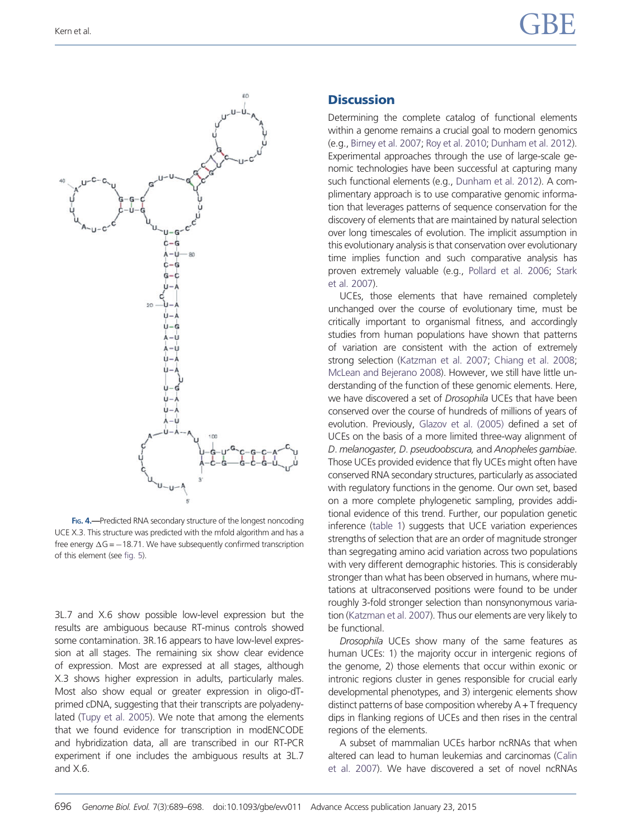<span id="page-8-0"></span>

FIG. 4.—Predicted RNA secondary structure of the longest noncoding UCE X.3. This structure was predicted with the mfold algorithm and has a free energy  $\Delta {\sf G}\! =\! -18.71.$  We have subsequently confirmed transcription of this element (see [fig. 5\)](#page-9-0).

3L.7 and X.6 show possible low-level expression but the results are ambiguous because RT-minus controls showed some contamination. 3R.16 appears to have low-level expression at all stages. The remaining six show clear evidence of expression. Most are expressed at all stages, although X.3 shows higher expression in adults, particularly males. Most also show equal or greater expression in oligo-dTprimed cDNA, suggesting that their transcripts are polyadenylated ([Tupy et al. 2005\)](#page-10-0). We note that among the elements that we found evidence for transcription in modENCODE and hybridization data, all are transcribed in our RT-PCR experiment if one includes the ambiguous results at 3L.7 and X.6.

#### **Discussion**

Determining the complete catalog of functional elements within a genome remains a crucial goal to modern genomics (e.g., [Birney et al. 2007](#page-10-0); [Roy et al. 2010;](#page-10-0) [Dunham et al. 2012\)](#page-10-0). Experimental approaches through the use of large-scale genomic technologies have been successful at capturing many such functional elements (e.g., [Dunham et al. 2012](#page-10-0)). A complimentary approach is to use comparative genomic information that leverages patterns of sequence conservation for the discovery of elements that are maintained by natural selection over long timescales of evolution. The implicit assumption in this evolutionary analysis is that conservation over evolutionary time implies function and such comparative analysis has proven extremely valuable (e.g., [Pollard et al. 2006](#page-10-0); [Stark](#page-10-0) [et al. 2007](#page-10-0)).

UCEs, those elements that have remained completely unchanged over the course of evolutionary time, must be critically important to organismal fitness, and accordingly studies from human populations have shown that patterns of variation are consistent with the action of extremely strong selection [\(Katzman et al. 2007](#page-10-0); [Chiang et al. 2008](#page-10-0); [McLean and Bejerano 2008\)](#page-10-0). However, we still have little understanding of the function of these genomic elements. Here, we have discovered a set of Drosophila UCEs that have been conserved over the course of hundreds of millions of years of evolution. Previously, [Glazov et al. \(2005\)](#page-10-0) defined a set of UCEs on the basis of a more limited three-way alignment of D. melanogaster, D. pseudoobscura, and Anopheles gambiae. Those UCEs provided evidence that fly UCEs might often have conserved RNA secondary structures, particularly as associated with regulatory functions in the genome. Our own set, based on a more complete phylogenetic sampling, provides additional evidence of this trend. Further, our population genetic inference [\(table 1](#page-5-0)) suggests that UCE variation experiences strengths of selection that are an order of magnitude stronger than segregating amino acid variation across two populations with very different demographic histories. This is considerably stronger than what has been observed in humans, where mutations at ultraconserved positions were found to be under roughly 3-fold stronger selection than nonsynonymous variation ([Katzman et al. 2007\)](#page-10-0). Thus our elements are very likely to be functional.

Drosophila UCEs show many of the same features as human UCEs: 1) the majority occur in intergenic regions of the genome, 2) those elements that occur within exonic or intronic regions cluster in genes responsible for crucial early developmental phenotypes, and 3) intergenic elements show distinct patterns of base composition whereby A + T frequency dips in flanking regions of UCEs and then rises in the central regions of the elements.

A subset of mammalian UCEs harbor ncRNAs that when altered can lead to human leukemias and carcinomas [\(Calin](#page-10-0) [et al. 2007](#page-10-0)). We have discovered a set of novel ncRNAs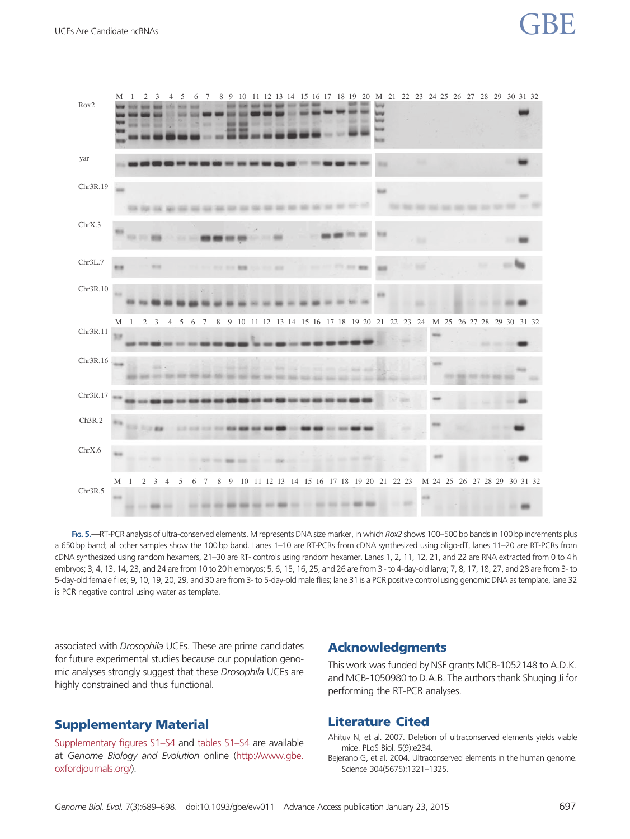<span id="page-9-0"></span>

FIG. 5.-RT-PCR analysis of ultra-conserved elements. M represents DNA size marker, in which Rox2 shows 100-500 bp bands in 100 bp increments plus a 650 bp band; all other samples show the 100 bp band. Lanes 1–10 are RT-PCRs from cDNA synthesized using oligo-dT, lanes 11–20 are RT-PCRs from cDNA synthesized using random hexamers, 21–30 are RT- controls using random hexamer. Lanes 1, 2, 11, 12, 21, and 22 are RNA extracted from 0 to 4h embryos; 3, 4, 13, 14, 23, and 24 are from 10 to 20 h embryos; 5, 6, 15, 16, 25, and 26 are from 3- to 4-day-old larva; 7, 8, 17, 18, 27, and 28 are from 3- to 5-day-old female flies; 9, 10, 19, 20, 29, and 30 are from 3- to 5-day-old male flies; lane 31 is a PCR positive control using genomic DNA as template, lane 32 is PCR negative control using water as template.

associated with Drosophila UCEs. These are prime candidates for future experimental studies because our population genomic analyses strongly suggest that these Drosophila UCEs are highly constrained and thus functional.

# Supplementary Material

[Supplementary figures S1–S4](http://gbe.oxfordjournals.org/lookup/suppl/doi:10.1093/gbe/evv011/-/DC1) and [tables S1–S4](http://gbe.oxfordjournals.org/lookup/suppl/doi:10.1093/gbe/evv011/-/DC1) are available at Genome Biology and Evolution online [\(http://www.gbe.](http://www.gbe.oxfordjournals.org/) [oxfordjournals.org/](http://www.gbe.oxfordjournals.org/)).

# Acknowledgments

This work was funded by NSF grants MCB-1052148 to A.D.K. and MCB-1050980 to D.A.B. The authors thank Shuqing Ji for performing the RT-PCR analyses.

# Literature Cited

- Ahituv N, et al. 2007. Deletion of ultraconserved elements yields viable mice. PLoS Biol. 5(9):e234.
- Bejerano G, et al. 2004. Ultraconserved elements in the human genome. Science 304(5675):1321–1325.